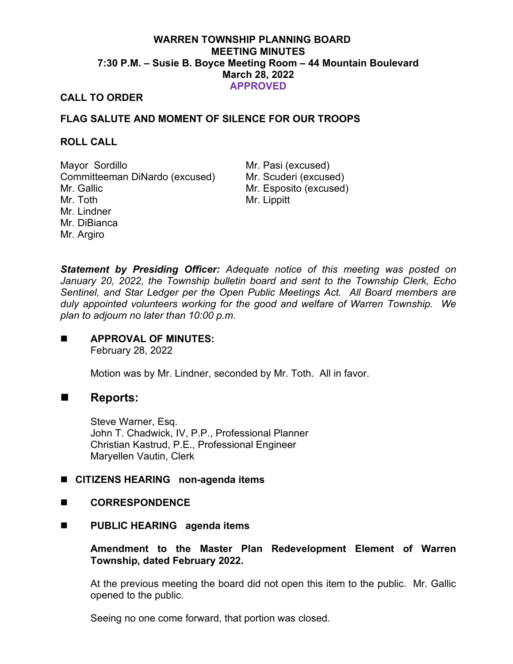# **WARREN TOWNSHIP PLANNING BOARD MEETING MINUTES 7:30 P.M. – Susie B. Boyce Meeting Room – 44 Mountain Boulevard March 28, 2022 APPROVED**

## **CALL TO ORDER**

# **FLAG SALUTE AND MOMENT OF SILENCE FOR OUR TROOPS**

#### **ROLL CALL**

Mayor Sordillo Mr. Pasi (excused) Committeeman DiNardo (excused) Mr. Scuderi (excused) Mr. Gallic Mr. Toth Mr. Lindner Mr. DiBianca Mr. Argiro

Mr. Esposito (excused) Mr. Lippitt

*Statement by Presiding Officer: Adequate notice of this meeting was posted on January 20, 2022, the Township bulletin board and sent to the Township Clerk, Echo Sentinel, and Star Ledger per the Open Public Meetings Act. All Board members are duly appointed volunteers working for the good and welfare of Warren Township. We plan to adjourn no later than 10:00 p.m.*

#### **APPROVAL OF MINUTES:**  February 28, 2022

Motion was by Mr. Lindner, seconded by Mr. Toth. All in favor.

# **Reports:**

Steve Warner, Esq. John T. Chadwick, IV, P.P., Professional Planner Christian Kastrud, P.E., Professional Engineer Maryellen Vautin, Clerk

## **CITIZENS HEARING non-agenda items**

## **CORRESPONDENCE**

## **PUBLIC HEARING agenda items**

## **Amendment to the Master Plan Redevelopment Element of Warren Township, dated February 2022.**

At the previous meeting the board did not open this item to the public. Mr. Gallic opened to the public.

Seeing no one come forward, that portion was closed.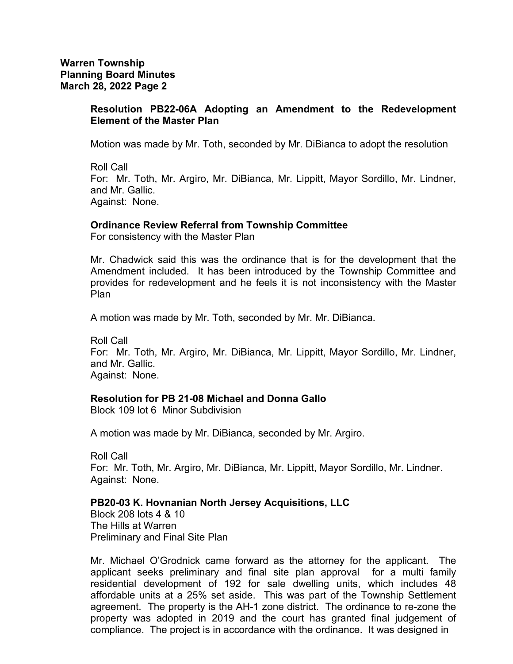#### **Resolution PB22-06A Adopting an Amendment to the Redevelopment Element of the Master Plan**

Motion was made by Mr. Toth, seconded by Mr. DiBianca to adopt the resolution

Roll Call For: Mr. Toth, Mr. Argiro, Mr. DiBianca, Mr. Lippitt, Mayor Sordillo, Mr. Lindner, and Mr. Gallic. Against: None.

#### **Ordinance Review Referral from Township Committee**

For consistency with the Master Plan

Mr. Chadwick said this was the ordinance that is for the development that the Amendment included. It has been introduced by the Township Committee and provides for redevelopment and he feels it is not inconsistency with the Master Plan

A motion was made by Mr. Toth, seconded by Mr. Mr. DiBianca.

Roll Call For: Mr. Toth, Mr. Argiro, Mr. DiBianca, Mr. Lippitt, Mayor Sordillo, Mr. Lindner, and Mr. Gallic. Against: None.

#### **Resolution for PB 21-08 Michael and Donna Gallo**

Block 109 lot 6 Minor Subdivision

A motion was made by Mr. DiBianca, seconded by Mr. Argiro.

Roll Call For: Mr. Toth, Mr. Argiro, Mr. DiBianca, Mr. Lippitt, Mayor Sordillo, Mr. Lindner. Against: None.

## **PB20-03 K. Hovnanian North Jersey Acquisitions, LLC**

Block 208 lots 4 & 10 The Hills at Warren Preliminary and Final Site Plan

Mr. Michael O'Grodnick came forward as the attorney for the applicant. The applicant seeks preliminary and final site plan approval for a multi family residential development of 192 for sale dwelling units, which includes 48 affordable units at a 25% set aside. This was part of the Township Settlement agreement. The property is the AH-1 zone district. The ordinance to re-zone the property was adopted in 2019 and the court has granted final judgement of compliance. The project is in accordance with the ordinance. It was designed in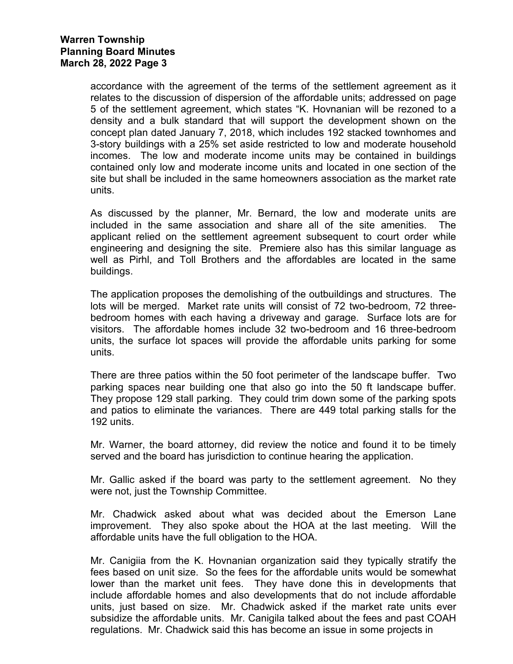accordance with the agreement of the terms of the settlement agreement as it relates to the discussion of dispersion of the affordable units; addressed on page 5 of the settlement agreement, which states "K. Hovnanian will be rezoned to a density and a bulk standard that will support the development shown on the concept plan dated January 7, 2018, which includes 192 stacked townhomes and 3-story buildings with a 25% set aside restricted to low and moderate household incomes. The low and moderate income units may be contained in buildings contained only low and moderate income units and located in one section of the site but shall be included in the same homeowners association as the market rate units.

As discussed by the planner, Mr. Bernard, the low and moderate units are included in the same association and share all of the site amenities. The applicant relied on the settlement agreement subsequent to court order while engineering and designing the site. Premiere also has this similar language as well as Pirhl, and Toll Brothers and the affordables are located in the same buildings.

The application proposes the demolishing of the outbuildings and structures. The lots will be merged. Market rate units will consist of 72 two-bedroom, 72 threebedroom homes with each having a driveway and garage. Surface lots are for visitors. The affordable homes include 32 two-bedroom and 16 three-bedroom units, the surface lot spaces will provide the affordable units parking for some units.

There are three patios within the 50 foot perimeter of the landscape buffer. Two parking spaces near building one that also go into the 50 ft landscape buffer. They propose 129 stall parking. They could trim down some of the parking spots and patios to eliminate the variances. There are 449 total parking stalls for the 192 units.

Mr. Warner, the board attorney, did review the notice and found it to be timely served and the board has jurisdiction to continue hearing the application.

Mr. Gallic asked if the board was party to the settlement agreement. No they were not, just the Township Committee.

Mr. Chadwick asked about what was decided about the Emerson Lane improvement. They also spoke about the HOA at the last meeting. Will the affordable units have the full obligation to the HOA.

Mr. Canigiia from the K. Hovnanian organization said they typically stratify the fees based on unit size. So the fees for the affordable units would be somewhat lower than the market unit fees. They have done this in developments that include affordable homes and also developments that do not include affordable units, just based on size. Mr. Chadwick asked if the market rate units ever subsidize the affordable units. Mr. Canigila talked about the fees and past COAH regulations. Mr. Chadwick said this has become an issue in some projects in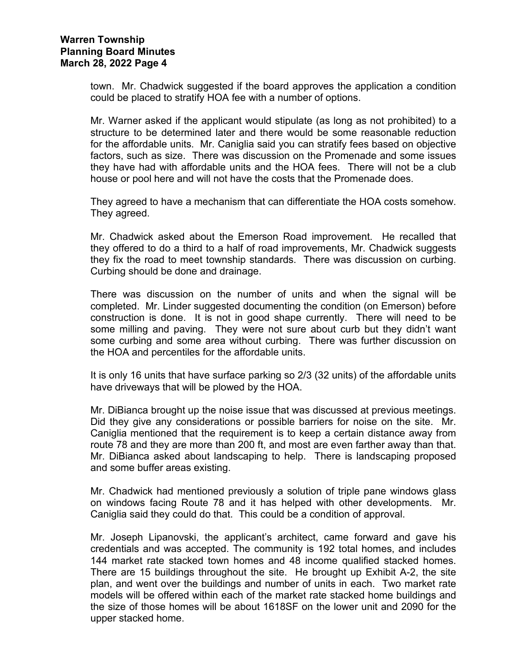town. Mr. Chadwick suggested if the board approves the application a condition could be placed to stratify HOA fee with a number of options.

Mr. Warner asked if the applicant would stipulate (as long as not prohibited) to a structure to be determined later and there would be some reasonable reduction for the affordable units. Mr. Caniglia said you can stratify fees based on objective factors, such as size. There was discussion on the Promenade and some issues they have had with affordable units and the HOA fees. There will not be a club house or pool here and will not have the costs that the Promenade does.

They agreed to have a mechanism that can differentiate the HOA costs somehow. They agreed.

Mr. Chadwick asked about the Emerson Road improvement. He recalled that they offered to do a third to a half of road improvements, Mr. Chadwick suggests they fix the road to meet township standards. There was discussion on curbing. Curbing should be done and drainage.

There was discussion on the number of units and when the signal will be completed. Mr. Linder suggested documenting the condition (on Emerson) before construction is done. It is not in good shape currently. There will need to be some milling and paving. They were not sure about curb but they didn't want some curbing and some area without curbing. There was further discussion on the HOA and percentiles for the affordable units.

It is only 16 units that have surface parking so 2/3 (32 units) of the affordable units have driveways that will be plowed by the HOA.

Mr. DiBianca brought up the noise issue that was discussed at previous meetings. Did they give any considerations or possible barriers for noise on the site. Mr. Caniglia mentioned that the requirement is to keep a certain distance away from route 78 and they are more than 200 ft, and most are even farther away than that. Mr. DiBianca asked about landscaping to help. There is landscaping proposed and some buffer areas existing.

Mr. Chadwick had mentioned previously a solution of triple pane windows glass on windows facing Route 78 and it has helped with other developments. Mr. Caniglia said they could do that. This could be a condition of approval.

Mr. Joseph Lipanovski, the applicant's architect, came forward and gave his credentials and was accepted. The community is 192 total homes, and includes 144 market rate stacked town homes and 48 income qualified stacked homes. There are 15 buildings throughout the site. He brought up Exhibit A-2, the site plan, and went over the buildings and number of units in each. Two market rate models will be offered within each of the market rate stacked home buildings and the size of those homes will be about 1618SF on the lower unit and 2090 for the upper stacked home.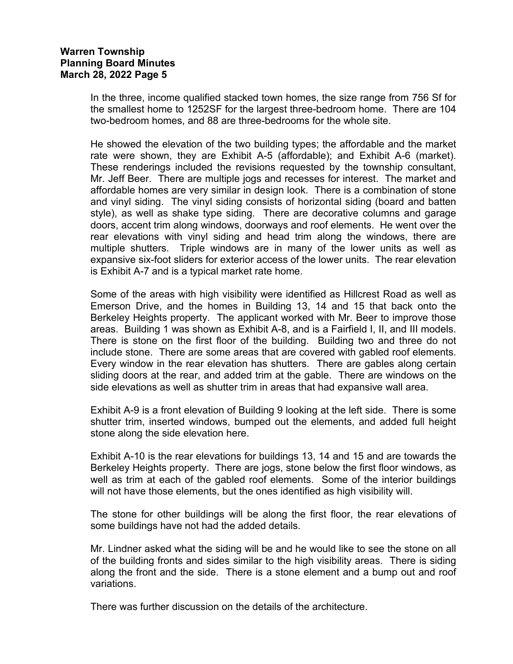# **Warren Township Planning Board Minutes March 28, 2022 Page 5**

In the three, income qualified stacked town homes, the size range from 756 Sf for the smallest home to 1252SF for the largest three-bedroom home. There are 104 two-bedroom homes, and 88 are three-bedrooms for the whole site.

He showed the elevation of the two building types; the affordable and the market rate were shown, they are Exhibit A-5 (affordable); and Exhibit A-6 (market). These renderings included the revisions requested by the township consultant, Mr. Jeff Beer. There are multiple jogs and recesses for interest. The market and affordable homes are very similar in design look. There is a combination of stone and vinyl siding. The vinyl siding consists of horizontal siding (board and batten style), as well as shake type siding. There are decorative columns and garage doors, accent trim along windows, doorways and roof elements. He went over the rear elevations with vinyl siding and head trim along the windows, there are multiple shutters. Triple windows are in many of the lower units as well as expansive six-foot sliders for exterior access of the lower units. The rear elevation is Exhibit A-7 and is a typical market rate home.

Some of the areas with high visibility were identified as Hillcrest Road as well as Emerson Drive, and the homes in Building 13, 14 and 15 that back onto the Berkeley Heights property. The applicant worked with Mr. Beer to improve those areas. Building 1 was shown as Exhibit A-8, and is a Fairfield I, II, and III models. There is stone on the first floor of the building. Building two and three do not include stone. There are some areas that are covered with gabled roof elements. Every window in the rear elevation has shutters. There are gables along certain sliding doors at the rear, and added trim at the gable. There are windows on the side elevations as well as shutter trim in areas that had expansive wall area.

Exhibit A-9 is a front elevation of Building 9 looking at the left side. There is some shutter trim, inserted windows, bumped out the elements, and added full height stone along the side elevation here.

Exhibit A-10 is the rear elevations for buildings 13, 14 and 15 and are towards the Berkeley Heights property. There are jogs, stone below the first floor windows, as well as trim at each of the gabled roof elements. Some of the interior buildings will not have those elements, but the ones identified as high visibility will.

The stone for other buildings will be along the first floor, the rear elevations of some buildings have not had the added details.

Mr. Lindner asked what the siding will be and he would like to see the stone on all of the building fronts and sides similar to the high visibility areas. There is siding along the front and the side. There is a stone element and a bump out and roof variations.

There was further discussion on the details of the architecture.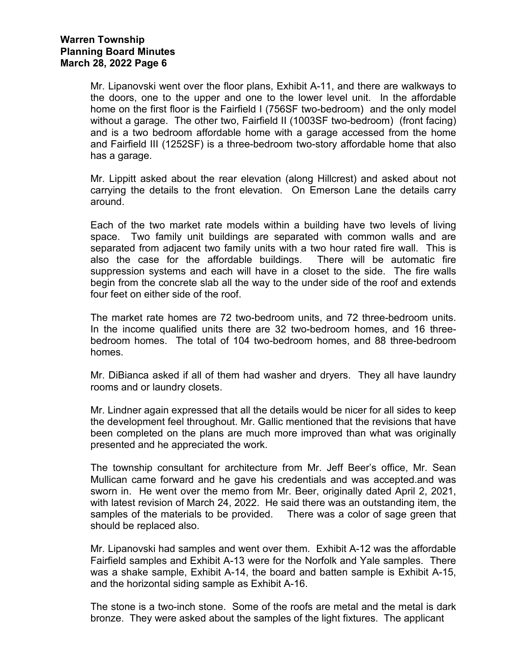Mr. Lipanovski went over the floor plans, Exhibit A-11, and there are walkways to the doors, one to the upper and one to the lower level unit. In the affordable home on the first floor is the Fairfield I (756SF two-bedroom) and the only model without a garage. The other two, Fairfield II (1003SF two-bedroom) (front facing) and is a two bedroom affordable home with a garage accessed from the home and Fairfield III (1252SF) is a three-bedroom two-story affordable home that also has a garage.

Mr. Lippitt asked about the rear elevation (along Hillcrest) and asked about not carrying the details to the front elevation. On Emerson Lane the details carry around.

Each of the two market rate models within a building have two levels of living space. Two family unit buildings are separated with common walls and are separated from adjacent two family units with a two hour rated fire wall. This is also the case for the affordable buildings. There will be automatic fire suppression systems and each will have in a closet to the side. The fire walls begin from the concrete slab all the way to the under side of the roof and extends four feet on either side of the roof.

The market rate homes are 72 two-bedroom units, and 72 three-bedroom units. In the income qualified units there are 32 two-bedroom homes, and 16 threebedroom homes. The total of 104 two-bedroom homes, and 88 three-bedroom homes.

Mr. DiBianca asked if all of them had washer and dryers. They all have laundry rooms and or laundry closets.

Mr. Lindner again expressed that all the details would be nicer for all sides to keep the development feel throughout. Mr. Gallic mentioned that the revisions that have been completed on the plans are much more improved than what was originally presented and he appreciated the work.

The township consultant for architecture from Mr. Jeff Beer's office, Mr. Sean Mullican came forward and he gave his credentials and was accepted.and was sworn in. He went over the memo from Mr. Beer, originally dated April 2, 2021, with latest revision of March 24, 2022. He said there was an outstanding item, the samples of the materials to be provided. There was a color of sage green that should be replaced also.

Mr. Lipanovski had samples and went over them. Exhibit A-12 was the affordable Fairfield samples and Exhibit A-13 were for the Norfolk and Yale samples. There was a shake sample, Exhibit A-14, the board and batten sample is Exhibit A-15, and the horizontal siding sample as Exhibit A-16.

The stone is a two-inch stone. Some of the roofs are metal and the metal is dark bronze. They were asked about the samples of the light fixtures. The applicant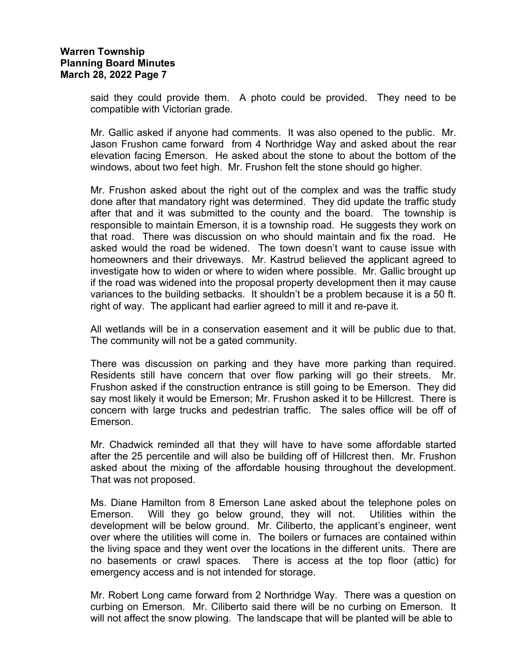said they could provide them. A photo could be provided. They need to be compatible with Victorian grade.

Mr. Gallic asked if anyone had comments. It was also opened to the public. Mr. Jason Frushon came forward from 4 Northridge Way and asked about the rear elevation facing Emerson. He asked about the stone to about the bottom of the windows, about two feet high. Mr. Frushon felt the stone should go higher.

Mr. Frushon asked about the right out of the complex and was the traffic study done after that mandatory right was determined. They did update the traffic study after that and it was submitted to the county and the board. The township is responsible to maintain Emerson, it is a township road. He suggests they work on that road. There was discussion on who should maintain and fix the road. He asked would the road be widened. The town doesn't want to cause issue with homeowners and their driveways. Mr. Kastrud believed the applicant agreed to investigate how to widen or where to widen where possible. Mr. Gallic brought up if the road was widened into the proposal property development then it may cause variances to the building setbacks. It shouldn't be a problem because it is a 50 ft. right of way. The applicant had earlier agreed to mill it and re-pave it.

All wetlands will be in a conservation easement and it will be public due to that. The community will not be a gated community.

There was discussion on parking and they have more parking than required. Residents still have concern that over flow parking will go their streets. Mr. Frushon asked if the construction entrance is still going to be Emerson. They did say most likely it would be Emerson; Mr. Frushon asked it to be Hillcrest. There is concern with large trucks and pedestrian traffic. The sales office will be off of Emerson.

Mr. Chadwick reminded all that they will have to have some affordable started after the 25 percentile and will also be building off of Hillcrest then. Mr. Frushon asked about the mixing of the affordable housing throughout the development. That was not proposed.

Ms. Diane Hamilton from 8 Emerson Lane asked about the telephone poles on Emerson. Will they go below ground, they will not. Utilities within the development will be below ground. Mr. Ciliberto, the applicant's engineer, went over where the utilities will come in. The boilers or furnaces are contained within the living space and they went over the locations in the different units. There are no basements or crawl spaces. There is access at the top floor (attic) for emergency access and is not intended for storage.

Mr. Robert Long came forward from 2 Northridge Way. There was a question on curbing on Emerson. Mr. Ciliberto said there will be no curbing on Emerson. It will not affect the snow plowing. The landscape that will be planted will be able to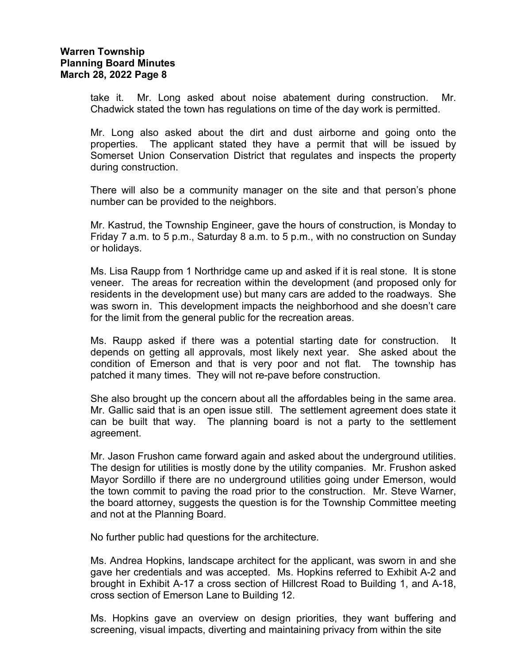take it. Mr. Long asked about noise abatement during construction. Mr. Chadwick stated the town has regulations on time of the day work is permitted.

Mr. Long also asked about the dirt and dust airborne and going onto the properties. The applicant stated they have a permit that will be issued by Somerset Union Conservation District that regulates and inspects the property during construction.

There will also be a community manager on the site and that person's phone number can be provided to the neighbors.

Mr. Kastrud, the Township Engineer, gave the hours of construction, is Monday to Friday 7 a.m. to 5 p.m., Saturday 8 a.m. to 5 p.m., with no construction on Sunday or holidays.

Ms. Lisa Raupp from 1 Northridge came up and asked if it is real stone. It is stone veneer. The areas for recreation within the development (and proposed only for residents in the development use) but many cars are added to the roadways. She was sworn in. This development impacts the neighborhood and she doesn't care for the limit from the general public for the recreation areas.

Ms. Raupp asked if there was a potential starting date for construction. It depends on getting all approvals, most likely next year. She asked about the condition of Emerson and that is very poor and not flat. The township has patched it many times. They will not re-pave before construction.

She also brought up the concern about all the affordables being in the same area. Mr. Gallic said that is an open issue still. The settlement agreement does state it can be built that way. The planning board is not a party to the settlement agreement.

Mr. Jason Frushon came forward again and asked about the underground utilities. The design for utilities is mostly done by the utility companies. Mr. Frushon asked Mayor Sordillo if there are no underground utilities going under Emerson, would the town commit to paving the road prior to the construction. Mr. Steve Warner, the board attorney, suggests the question is for the Township Committee meeting and not at the Planning Board.

No further public had questions for the architecture.

Ms. Andrea Hopkins, landscape architect for the applicant, was sworn in and she gave her credentials and was accepted. Ms. Hopkins referred to Exhibit A-2 and brought in Exhibit A-17 a cross section of Hillcrest Road to Building 1, and A-18, cross section of Emerson Lane to Building 12.

Ms. Hopkins gave an overview on design priorities, they want buffering and screening, visual impacts, diverting and maintaining privacy from within the site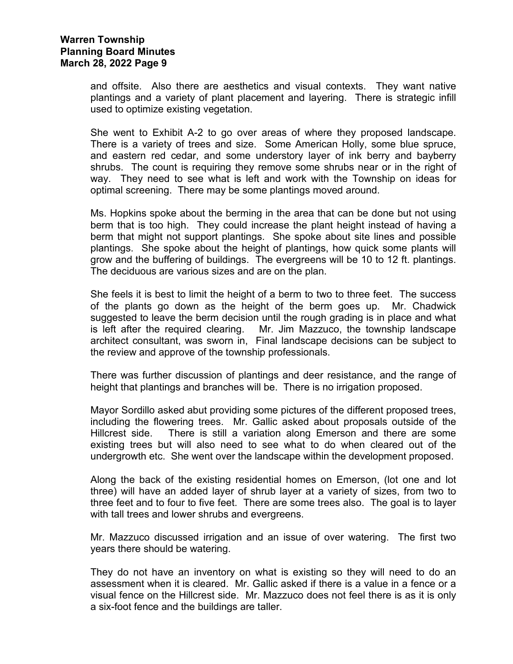and offsite. Also there are aesthetics and visual contexts. They want native plantings and a variety of plant placement and layering. There is strategic infill used to optimize existing vegetation.

She went to Exhibit A-2 to go over areas of where they proposed landscape. There is a variety of trees and size. Some American Holly, some blue spruce, and eastern red cedar, and some understory layer of ink berry and bayberry shrubs. The count is requiring they remove some shrubs near or in the right of way. They need to see what is left and work with the Township on ideas for optimal screening. There may be some plantings moved around.

Ms. Hopkins spoke about the berming in the area that can be done but not using berm that is too high. They could increase the plant height instead of having a berm that might not support plantings. She spoke about site lines and possible plantings. She spoke about the height of plantings, how quick some plants will grow and the buffering of buildings. The evergreens will be 10 to 12 ft. plantings. The deciduous are various sizes and are on the plan.

She feels it is best to limit the height of a berm to two to three feet. The success of the plants go down as the height of the berm goes up. Mr. Chadwick suggested to leave the berm decision until the rough grading is in place and what is left after the required clearing. Mr. Jim Mazzuco, the township landscape architect consultant, was sworn in, Final landscape decisions can be subject to the review and approve of the township professionals.

There was further discussion of plantings and deer resistance, and the range of height that plantings and branches will be. There is no irrigation proposed.

Mayor Sordillo asked abut providing some pictures of the different proposed trees, including the flowering trees. Mr. Gallic asked about proposals outside of the Hillcrest side. There is still a variation along Emerson and there are some existing trees but will also need to see what to do when cleared out of the undergrowth etc. She went over the landscape within the development proposed.

Along the back of the existing residential homes on Emerson, (lot one and lot three) will have an added layer of shrub layer at a variety of sizes, from two to three feet and to four to five feet. There are some trees also. The goal is to layer with tall trees and lower shrubs and evergreens.

Mr. Mazzuco discussed irrigation and an issue of over watering. The first two years there should be watering.

They do not have an inventory on what is existing so they will need to do an assessment when it is cleared. Mr. Gallic asked if there is a value in a fence or a visual fence on the Hillcrest side. Mr. Mazzuco does not feel there is as it is only a six-foot fence and the buildings are taller.